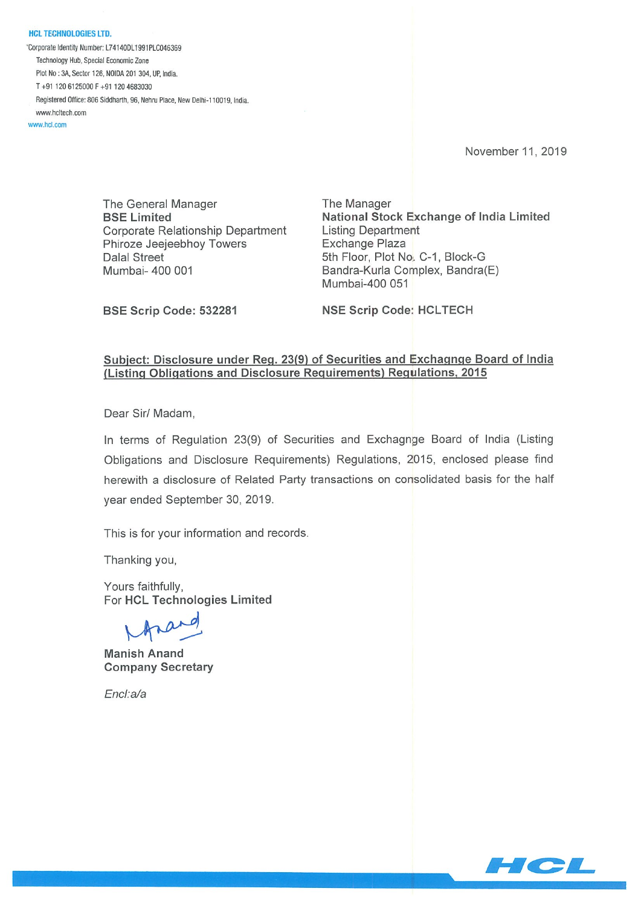HCL TECHNOLOGIES LTD. \*Corporate Identity Number: L74140DL1991PLC046369 Technology Hub. Special Economic Zone Plot No: 3A, Sector 126, NOIDA 201 304, UP. India. T +91 120 6125000 F +91 120 4683030 Registered Office: 806 Siddharth, 96, Nehru Place, New Delhi-110019, India. www.hcitech.com

www.hcl.com

November 11,2019

The General Manager The Manager Corporate Relationship Department Listing Department Phiroze Jeejeebhoy Towers **Exchange Plaza** Dalal Street 5th Floor, Plot No. C-1, Block-G Mumbai- 400 001 **Bandra-Kurla Complex, Bandra**(E)

BSE Limited **National Stock Exchange of India Limited** Mumbai-400 051

BSE Scrip Code: 532281 NSE Scrip Code: HCLTECH

#### Subiect: Disclosure under Req. 23(9) of Securities and Exchaqnge Board of India (Listing Obligations and Disclosure Requirements) Regulations, 2015

Dear Sir/ Madam,

In terms of Regulation 23(9) of Securities and Exchagnge Board of India (Listing Obligations and Disclosure Requirements) Regulations, 2015, enclosed please find herewith a disclosure of Related Party transactions on consolidated basis for the half year ended September 30, 2019.

This is for your information and records.

Thanking you,

Yours faithfully, For HCL Technologies Limited

Manish Anand Company Secretary

EncI:a/a

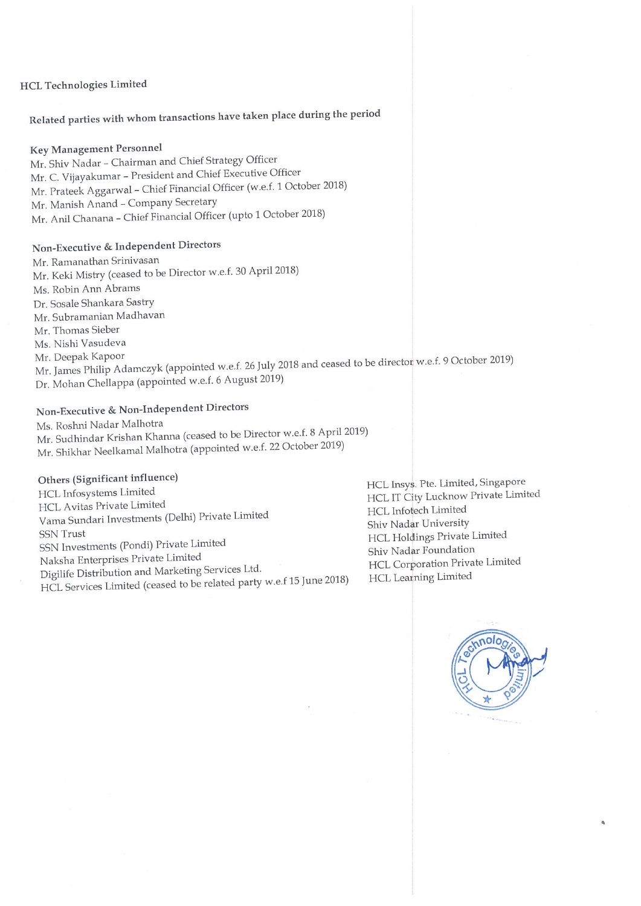#### HCL Technologies Limited

# Related parties with whom transactions have taken place during the period

### Key Management Personnel

Mr. Shiv Nadar — Chairman and Chief Strategy Officer Mr. C. Vijayakumar - President and Chief Executive Officer Mr. Prateek Aggarwal — Chief Financial Officer (w.e.f. <sup>1</sup> October 2018) Mr. Manish Anand - Company Secretary Mr. Anil Chanana — Chief Financial Officer (upto <sup>1</sup> October 2018)

## Non-Executive & Independent Directors

Mr. Ramanathan Srinivasan Mr. Keki Mistry (ceased to be Director w.e.f. 30 April 2018) Ms. Robin Ann Abrams Dr. Sosale Shankara Sastry Mr. Subramanian Madhavan Mr. Thomas Sieber Ms. Nishi Vasudeva Mr. Deepak Kapoor Mr. James Philip Adamczyk (appointed w.e.f. 26 July 2016 and ceased to be director of the director w.e.f. 9 October 2019) Dr. Mohan Chellappa (appointed w.e.f. 6 August 2019)

## Non-Executive & Non-Independent Directors

Ms. Roshni Nadar Malhotra Mr. Sudhindar Krishan Khanna (ceased to be Director w.e.f. <sup>8</sup> April 2019) Mr. Shikhar Neelkamal Malhotra (appointed w.e.f. 22 october 2019)

Others (Significant influence) HCL Avitas Private Limited HCL IT City Lucknow<br>HCL Infotech Limited HCL Infotech Limited Vama Sundari Investments (Delhi) Private Limited HCL Infotech Limited<br>Shiv Nadar University SSN Trust Shive National State of HCL Holdings Private Limited SSN Investments (Pondi) Private Limited HCL Holdings Private Limited HCL Holdings Private Limited Naksha Enterprises Private Limited<br>Digilife Distribution and Marketing Services Ltd. Marketing Shiv Nadar Foundation Private Limited Digilife Distribution and Marketing Services Ltd. HCL Corporation Private Limited HCL Services Limited (ceased to be related party w.e.f <sup>15</sup> June 2018) HCL Learning Limited

HCL Insys. Pte. Limited, Singapore<br>HCL IT City Lucknow Private Limited